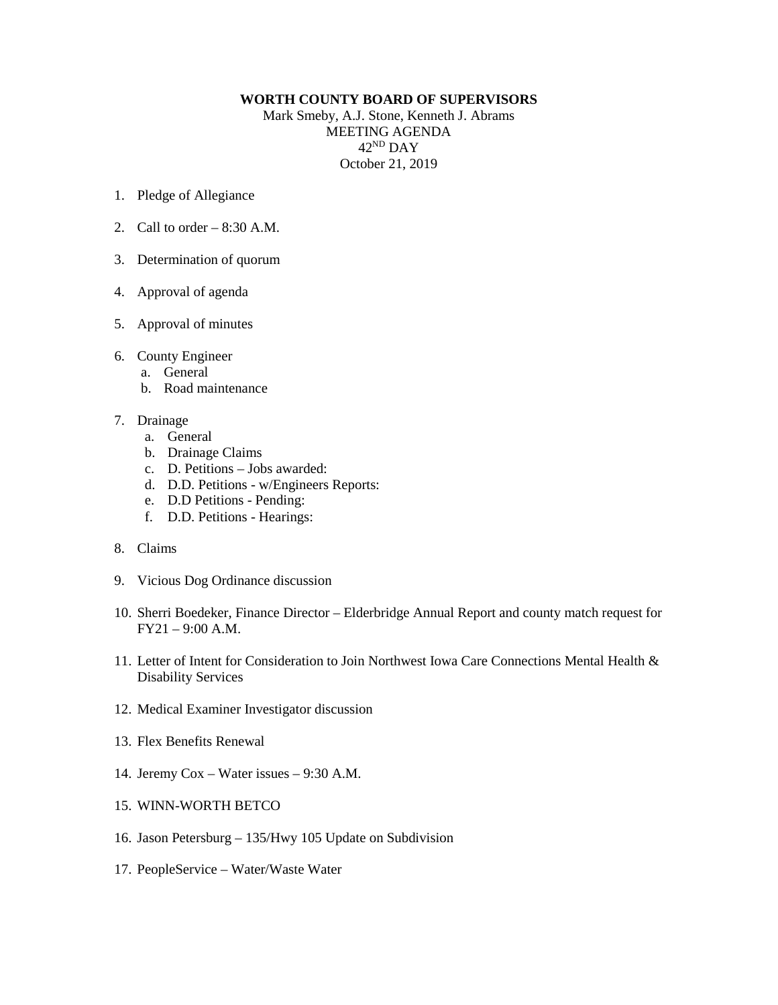## **WORTH COUNTY BOARD OF SUPERVISORS**

Mark Smeby, A.J. Stone, Kenneth J. Abrams MEETING AGENDA 42ND DAY October 21, 2019

- 1. Pledge of Allegiance
- 2. Call to order  $-8:30$  A.M.
- 3. Determination of quorum
- 4. Approval of agenda
- 5. Approval of minutes
- 6. County Engineer
	- a. General
	- b. Road maintenance
- 7. Drainage
	- a. General
	- b. Drainage Claims
	- c. D. Petitions Jobs awarded:
	- d. D.D. Petitions w/Engineers Reports:
	- e. D.D Petitions Pending:
	- f. D.D. Petitions Hearings:
- 8. Claims
- 9. Vicious Dog Ordinance discussion
- 10. Sherri Boedeker, Finance Director Elderbridge Annual Report and county match request for FY21 – 9:00 A.M.
- 11. Letter of Intent for Consideration to Join Northwest Iowa Care Connections Mental Health & Disability Services
- 12. Medical Examiner Investigator discussion
- 13. Flex Benefits Renewal
- 14. Jeremy Cox Water issues 9:30 A.M.
- 15. WINN-WORTH BETCO
- 16. Jason Petersburg 135/Hwy 105 Update on Subdivision
- 17. PeopleService Water/Waste Water